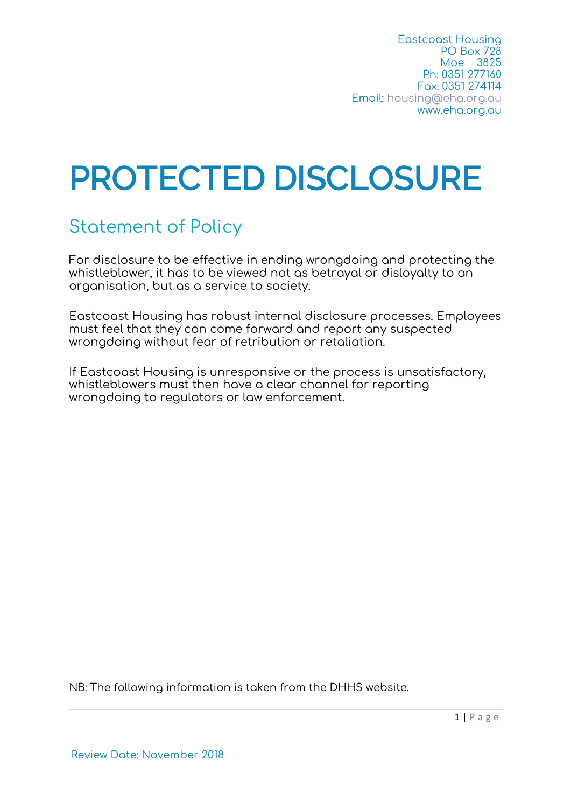Eastcoast Housing PO Box 728 Moe 3825 Ph: 0351 277160 Fax: 0351 274114 Email: housing@eha.org.au www.eha.org.au

# **PROTECTED DISCLOSURE**

# Statement of Policy

For disclosure to be effective in ending wrongdoing and protecting the whistleblower, it has to be viewed not as betrayal or disloyalty to an organisation, but as a service to society.

Eastcoast Housing has robust internal disclosure processes. Employees must feel that they can come forward and report any suspected wrongdoing without fear of retribution or retaliation.

If Eastcoast Housing is unresponsive or the process is unsatisfactory, whistleblowers must then have a clear channel for reporting wrongdoing to regulators or law enforcement.

NB: The following information is taken from the DHHS website.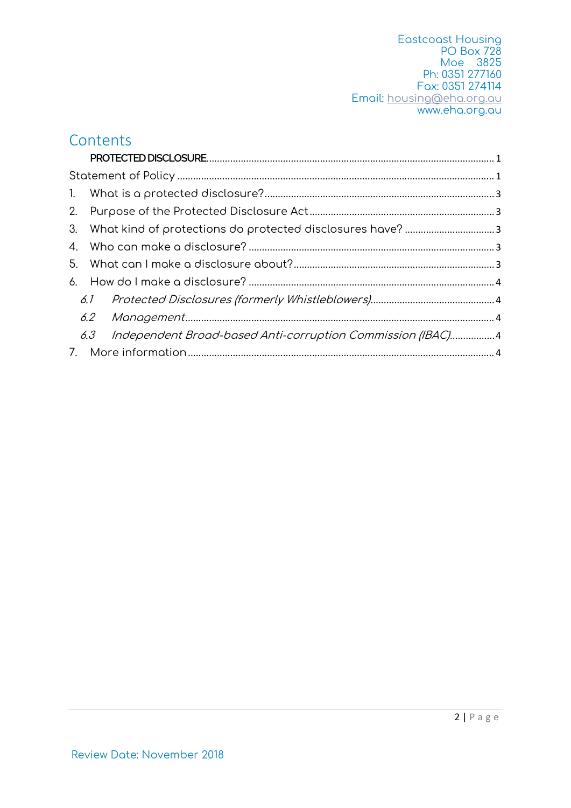Eastcoast Housing PO Box 728 Moe 3825 Ph: 0351 277160 Fax: 0351 274114 Email: housing@eha.org.au www.eha.org.au

#### **Contents**

| 5. |  |                                                                |  |
|----|--|----------------------------------------------------------------|--|
|    |  |                                                                |  |
|    |  |                                                                |  |
|    |  |                                                                |  |
|    |  | 6.3 Independent Broad-based Anti-corruption Commission (IBAC)4 |  |
|    |  |                                                                |  |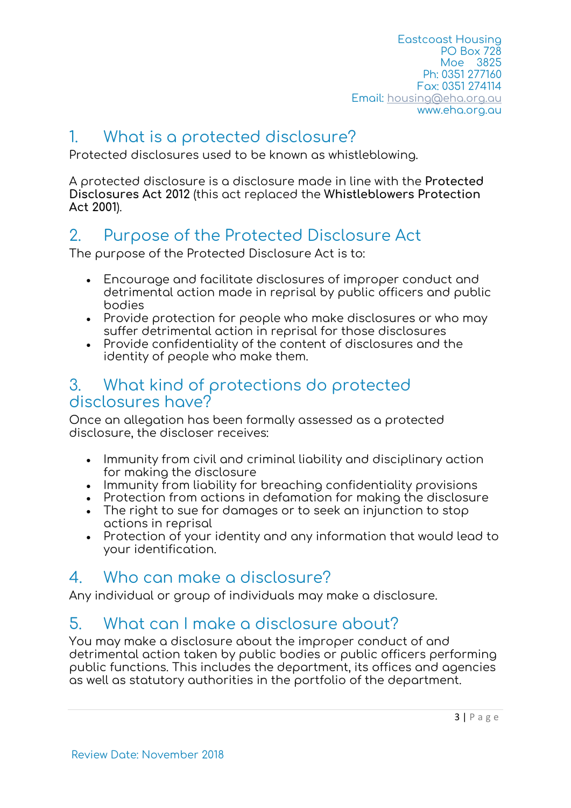Eastcoast Housing PO Box 728 Moe 3825 Ph: 0351 277160 Fax: 0351 274114 Email: housing@eha.org.au www.eha.org.au

#### 1. What is a protected disclosure?

Protected disclosures used to be known as whistleblowing.

A protected disclosure is a disclosure made in line with the **Protected Disclosures Act 2012** (this act replaced the **Whistleblowers Protection Act 2001**).

## 2. Purpose of the Protected Disclosure Act

The purpose of the Protected Disclosure Act is to:

- Encourage and facilitate disclosures of improper conduct and detrimental action made in reprisal by public officers and public bodies
- Provide protection for people who make disclosures or who may suffer detrimental action in reprisal for those disclosures
- Provide confidentiality of the content of disclosures and the identity of people who make them.

#### 3. What kind of protections do protected disclosures have?

Once an allegation has been formally assessed as a protected disclosure, the discloser receives:

- Immunity from civil and criminal liability and disciplinary action for making the disclosure
- Immunity from liability for breaching confidentiality provisions
- Protection from actions in defamation for making the disclosure
- The right to sue for damages or to seek an injunction to stop actions in reprisal
- Protection of your identity and any information that would lead to your identification.

# 4. Who can make a disclosure?

Any individual or group of individuals may make a disclosure.

## 5. What can I make a disclosure about?

You may make a disclosure about the improper conduct of and detrimental action taken by public bodies or public officers performing public functions. This includes the department, its offices and agencies as well as statutory authorities in the portfolio of the department.